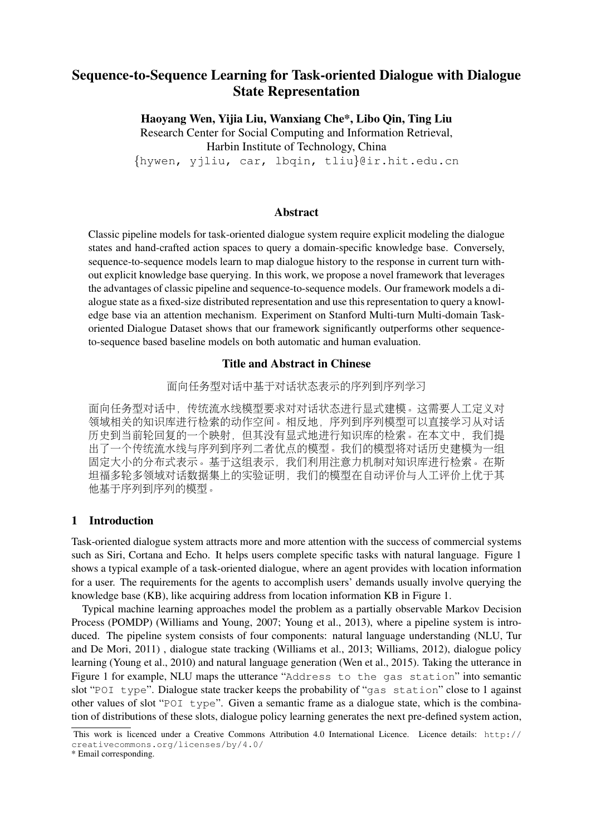# Sequence-to-Sequence Learning for Task-oriented Dialogue with Dialogue State Representation

Haoyang Wen, Yijia Liu, Wanxiang Che\*, Libo Qin, Ting Liu Research Center for Social Computing and Information Retrieval, Harbin Institute of Technology, China {hywen, yjliu, car, lbqin, tliu}@ir.hit.edu.cn

#### Abstract

Classic pipeline models for task-oriented dialogue system require explicit modeling the dialogue states and hand-crafted action spaces to query a domain-specific knowledge base. Conversely, sequence-to-sequence models learn to map dialogue history to the response in current turn without explicit knowledge base querying. In this work, we propose a novel framework that leverages the advantages of classic pipeline and sequence-to-sequence models. Our framework models a dialogue state as a fixed-size distributed representation and use this representation to query a knowledge base via an attention mechanism. Experiment on Stanford Multi-turn Multi-domain Taskoriented Dialogue Dataset shows that our framework significantly outperforms other sequenceto-sequence based baseline models on both automatic and human evaluation.

# Title and Abstract in Chinese

<sup>面</sup>向任务型对话中基于对话状态表示的序列到序列学<sup>习</sup>

面向任务型对话中,传统流水线模型要求对对话状态进行显式建模。这需要人工定义对 领域相关的知识库进行检索的动作空间。相反地,序列到序列模型可以直接学习从对<sup>话</sup> 历史到当前轮回复的一个映射,但其没有显式地进行知识库的检索。在本文中,我们提 <sup>出</sup>了一个传统流水线与序列到序列二者优点的模型。我们的模型将对话历史建模为一<sup>组</sup> <sup>固</sup>定大小的分布式表示。基于这组表示,我们利用注意力机制对知识库进行检索。在<sup>斯</sup> <sup>坦</sup>福多轮多领域对话数据集上的实验证明,我们的模型在自动评价与人工评价上优于<sup>其</sup> <sup>他</sup>基于序列到序列的模型。

### 1 Introduction

Task-oriented dialogue system attracts more and more attention with the success of commercial systems such as Siri, Cortana and Echo. It helps users complete specific tasks with natural language. Figure 1 shows a typical example of a task-oriented dialogue, where an agent provides with location information for a user. The requirements for the agents to accomplish users' demands usually involve querying the knowledge base (KB), like acquiring address from location information KB in Figure 1.

Typical machine learning approaches model the problem as a partially observable Markov Decision Process (POMDP) (Williams and Young, 2007; Young et al., 2013), where a pipeline system is introduced. The pipeline system consists of four components: natural language understanding (NLU, Tur and De Mori, 2011) , dialogue state tracking (Williams et al., 2013; Williams, 2012), dialogue policy learning (Young et al., 2010) and natural language generation (Wen et al., 2015). Taking the utterance in Figure 1 for example, NLU maps the utterance "Address to the gas station" into semantic slot "POI type". Dialogue state tracker keeps the probability of "gas station" close to 1 against other values of slot "POI type". Given a semantic frame as a dialogue state, which is the combination of distributions of these slots, dialogue policy learning generates the next pre-defined system action,

This work is licenced under a Creative Commons Attribution 4.0 International Licence. Licence details: http:// creativecommons.org/licenses/by/4.0/

<sup>\*</sup> Email corresponding.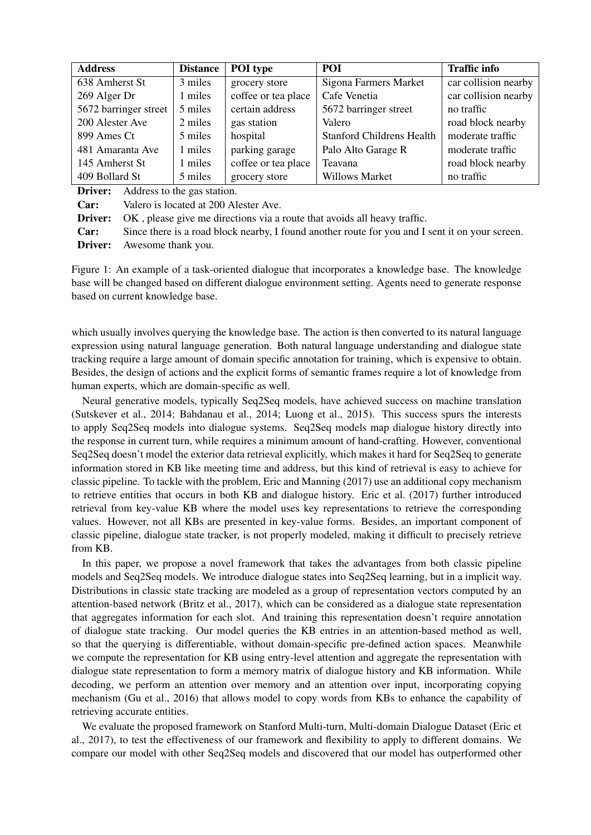| <b>Address</b>        | <b>Distance</b> | POI type            | POI                              | <b>Traffic info</b>  |
|-----------------------|-----------------|---------------------|----------------------------------|----------------------|
| 638 Amherst St        | 3 miles         | grocery store       | Sigona Farmers Market            | car collision nearby |
| 269 Alger Dr          | 1 miles         | coffee or tea place | Cafe Venetia                     | car collision nearby |
| 5672 barringer street | 5 miles         | certain address     | 5672 barringer street            | no traffic           |
| 200 Alester Ave       | 2 miles         | gas station         | Valero                           | road block nearby    |
| 899 Ames Ct           | 5 miles         | hospital            | <b>Stanford Childrens Health</b> | moderate traffic     |
| 481 Amaranta Ave      | 1 miles         | parking garage      | Palo Alto Garage R               | moderate traffic     |
| 145 Amherst St        | 1 miles         | coffee or tea place | Teavana                          | road block nearby    |
| 409 Bollard St        | 5 miles         | grocery store       | <b>Willows Market</b>            | no traffic           |

**Driver:** Address to the gas station.

Car: Valero is located at 200 Alester Ave.

Driver: OK , please give me directions via a route that avoids all heavy traffic.

Car: Since there is a road block nearby, I found another route for you and I sent it on your screen. Driver: Awesome thank you.

Figure 1: An example of a task-oriented dialogue that incorporates a knowledge base. The knowledge base will be changed based on different dialogue environment setting. Agents need to generate response based on current knowledge base.

which usually involves querying the knowledge base. The action is then converted to its natural language expression using natural language generation. Both natural language understanding and dialogue state tracking require a large amount of domain specific annotation for training, which is expensive to obtain. Besides, the design of actions and the explicit forms of semantic frames require a lot of knowledge from human experts, which are domain-specific as well.

Neural generative models, typically Seq2Seq models, have achieved success on machine translation (Sutskever et al., 2014; Bahdanau et al., 2014; Luong et al., 2015). This success spurs the interests to apply Seq2Seq models into dialogue systems. Seq2Seq models map dialogue history directly into the response in current turn, while requires a minimum amount of hand-crafting. However, conventional Seq2Seq doesn't model the exterior data retrieval explicitly, which makes it hard for Seq2Seq to generate information stored in KB like meeting time and address, but this kind of retrieval is easy to achieve for classic pipeline. To tackle with the problem, Eric and Manning (2017) use an additional copy mechanism to retrieve entities that occurs in both KB and dialogue history. Eric et al. (2017) further introduced retrieval from key-value KB where the model uses key representations to retrieve the corresponding values. However, not all KBs are presented in key-value forms. Besides, an important component of classic pipeline, dialogue state tracker, is not properly modeled, making it difficult to precisely retrieve from KB.

In this paper, we propose a novel framework that takes the advantages from both classic pipeline models and Seq2Seq models. We introduce dialogue states into Seq2Seq learning, but in a implicit way. Distributions in classic state tracking are modeled as a group of representation vectors computed by an attention-based network (Britz et al., 2017), which can be considered as a dialogue state representation that aggregates information for each slot. And training this representation doesn't require annotation of dialogue state tracking. Our model queries the KB entries in an attention-based method as well, so that the querying is differentiable, without domain-specific pre-defined action spaces. Meanwhile we compute the representation for KB using entry-level attention and aggregate the representation with dialogue state representation to form a memory matrix of dialogue history and KB information. While decoding, we perform an attention over memory and an attention over input, incorporating copying mechanism (Gu et al., 2016) that allows model to copy words from KBs to enhance the capability of retrieving accurate entities.

We evaluate the proposed framework on Stanford Multi-turn, Multi-domain Dialogue Dataset (Eric et al., 2017), to test the effectiveness of our framework and flexibility to apply to different domains. We compare our model with other Seq2Seq models and discovered that our model has outperformed other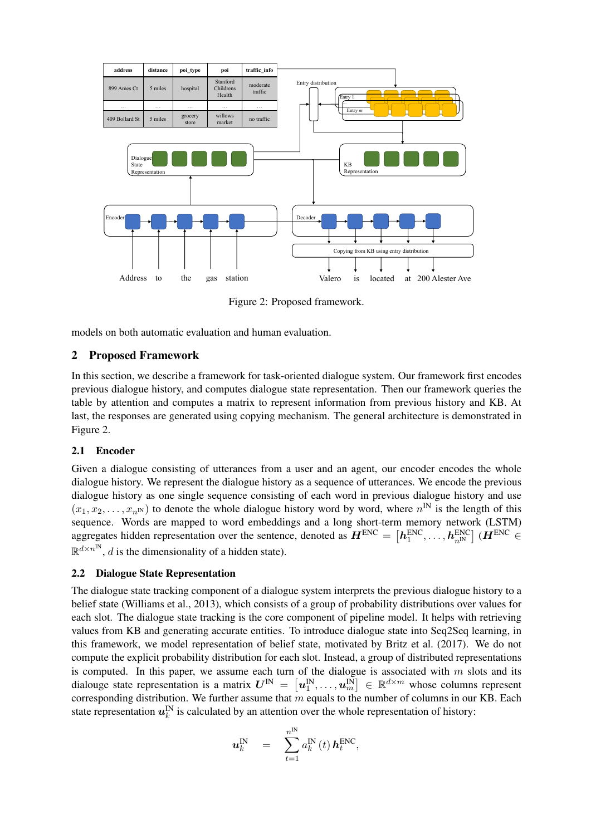

Figure 2: Proposed framework.

models on both automatic evaluation and human evaluation.

# 2 Proposed Framework

In this section, we describe a framework for task-oriented dialogue system. Our framework first encodes previous dialogue history, and computes dialogue state representation. Then our framework queries the table by attention and computes a matrix to represent information from previous history and KB. At last, the responses are generated using copying mechanism. The general architecture is demonstrated in Figure 2.

### 2.1 Encoder

Given a dialogue consisting of utterances from a user and an agent, our encoder encodes the whole dialogue history. We represent the dialogue history as a sequence of utterances. We encode the previous dialogue history as one single sequence consisting of each word in previous dialogue history and use  $(x_1, x_2, \ldots, x_{n^N})$  to denote the whole dialogue history word by word, where  $n^N$  is the length of this sequence. Words are mapped to word embeddings and a long short-term memory network (LSTM) aggregates hidden representation over the sentence, denoted as  $\bm{H}^{\text{ENC}} = \left[\bm{h}^{\text{ENC}}_1,\dots,\bm{h}^{\text{ENC}}_{n^{\text{INC}}}\right](\bm{H}^{\text{ENC}} \in$  $\mathbb{R}^{d \times n^{\text{IN}}}$ , d is the dimensionality of a hidden state).

#### 2.2 Dialogue State Representation

The dialogue state tracking component of a dialogue system interprets the previous dialogue history to a belief state (Williams et al., 2013), which consists of a group of probability distributions over values for each slot. The dialogue state tracking is the core component of pipeline model. It helps with retrieving values from KB and generating accurate entities. To introduce dialogue state into Seq2Seq learning, in this framework, we model representation of belief state, motivated by Britz et al. (2017). We do not compute the explicit probability distribution for each slot. Instead, a group of distributed representations is computed. In this paper, we assume each turn of the dialogue is associated with  $m$  slots and its dialouge state representation is a matrix  $\bm{U}^{\rm IN} = \left[\bm{u}_1^{\rm IN},\ldots,\bm{u}_m^{\rm IN}\right] \in \mathbb{R}^{d \times m}$  whose columns represent corresponding distribution. We further assume that  $m$  equals to the number of columns in our KB. Each state representation  $u_k^N$  is calculated by an attention over the whole representation of history:

$$
\boldsymbol{u}_k^{\text{IN}} = \sum_{t=1}^{n^{\text{IN}}} a_k^{\text{IN}}(t) \, \boldsymbol{h}_t^{\text{ENC}},
$$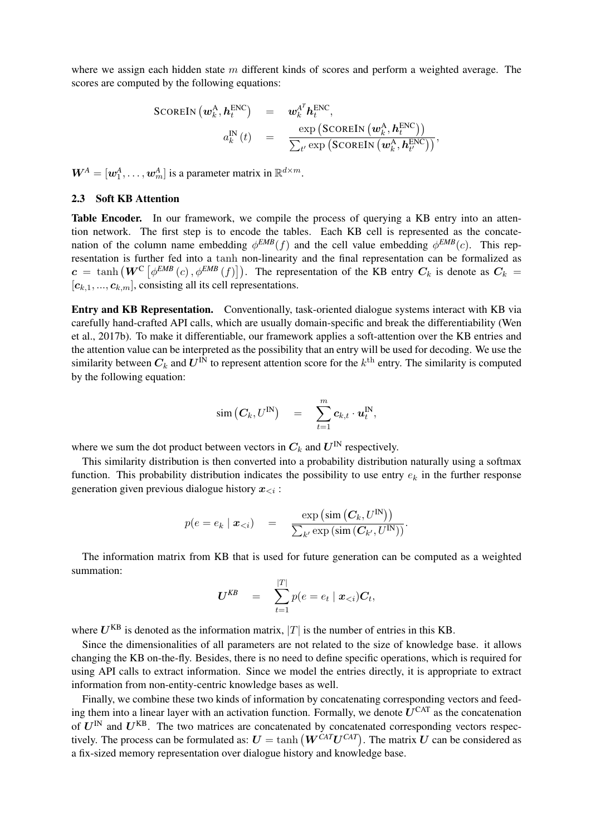where we assign each hidden state  $m$  different kinds of scores and perform a weighted average. The scores are computed by the following equations:

$$
\begin{array}{rcl} \text{SCOREIN} \left( \boldsymbol{w}^{\text{A}}_k, \boldsymbol{h}^{\text{ENC}}_t \right) & = & \boldsymbol{w}^{\text{A}^T}_k \boldsymbol{h}^{\text{ENC}}_t, \\ & & \\ & a^{\text{IN}}_k \left( t \right) & = & \frac{\exp \left( \text{SCOREIN} \left( \boldsymbol{w}^{\text{A}}_k, \boldsymbol{h}^{\text{ENC}}_t \right) \right)}{\sum_{t'} \exp \left( \text{SCOREIN} \left( \boldsymbol{w}^{\text{A}}_k, \boldsymbol{h}^{\text{ENC}}_t \right) \right)}, \end{array}
$$

 $W^A = [\boldsymbol{w}_1^A, \dots, \boldsymbol{w}_m^A]$  is a parameter matrix in  $\mathbb{R}^{d \times m}$ .

#### 2.3 Soft KB Attention

Table Encoder. In our framework, we compile the process of querying a KB entry into an attention network. The first step is to encode the tables. Each KB cell is represented as the concatenation of the column name embedding  $\phi^{EMB}(f)$  and the cell value embedding  $\phi^{EMB}(c)$ . This representation is further fed into a tanh non-linearity and the final representation can be formalized as  $c = \tanh(W^{\text{C}}\left[\phi^{EMB}\left(c\right),\phi^{EMB}\left(f\right)\right])$ . The representation of the KB entry  $C_k$  is denote as  $C_k =$  $[c_{k,1},...,c_{k,m}]$ , consisting all its cell representations.

Entry and KB Representation. Conventionally, task-oriented dialogue systems interact with KB via carefully hand-crafted API calls, which are usually domain-specific and break the differentiability (Wen et al., 2017b). To make it differentiable, our framework applies a soft-attention over the KB entries and the attention value can be interpreted as the possibility that an entry will be used for decoding. We use the similarity between  $C_k$  and  $U^{\text{IN}}$  to represent attention score for the  $k^{\text{th}}$  entry. The similarity is computed by the following equation:

$$
\mathrm{sim}\left(\boldsymbol{C}_{k},U^{\mathrm{IN}}\right) \quad = \quad \sum_{t=1}^{m} \boldsymbol{c}_{k,t} \cdot \boldsymbol{u}_{t}^{\mathrm{IN}},
$$

where we sum the dot product between vectors in  $C_k$  and  $U^{\text{IN}}$  respectively.

This similarity distribution is then converted into a probability distribution naturally using a softmax function. This probability distribution indicates the possibility to use entry  $e_k$  in the further response generation given previous dialogue history  $x_{\leq i}$ :

$$
p(e = e_k \mid \boldsymbol{x}_{
$$

The information matrix from KB that is used for future generation can be computed as a weighted summation:

$$
\boldsymbol{U}^{\textit{KB}} = \sum_{t=1}^{|T|} p(e = e_t \mid \boldsymbol{x}_{< i}) \boldsymbol{C}_t,
$$

where  $U^{KB}$  is denoted as the information matrix, |T| is the number of entries in this KB.

Since the dimensionalities of all parameters are not related to the size of knowledge base. it allows changing the KB on-the-fly. Besides, there is no need to define specific operations, which is required for using API calls to extract information. Since we model the entries directly, it is appropriate to extract information from non-entity-centric knowledge bases as well.

Finally, we combine these two kinds of information by concatenating corresponding vectors and feeding them into a linear layer with an activation function. Formally, we denote  $U^{CAT}$  as the concatenation of  $U^{IN}$  and  $U^{KB}$ . The two matrices are concatenated by concatenated corresponding vectors respectively. The process can be formulated as:  $U = \tanh(W^{CAT}U^{CAT})$ . The matrix U can be considered as a fix-sized memory representation over dialogue history and knowledge base.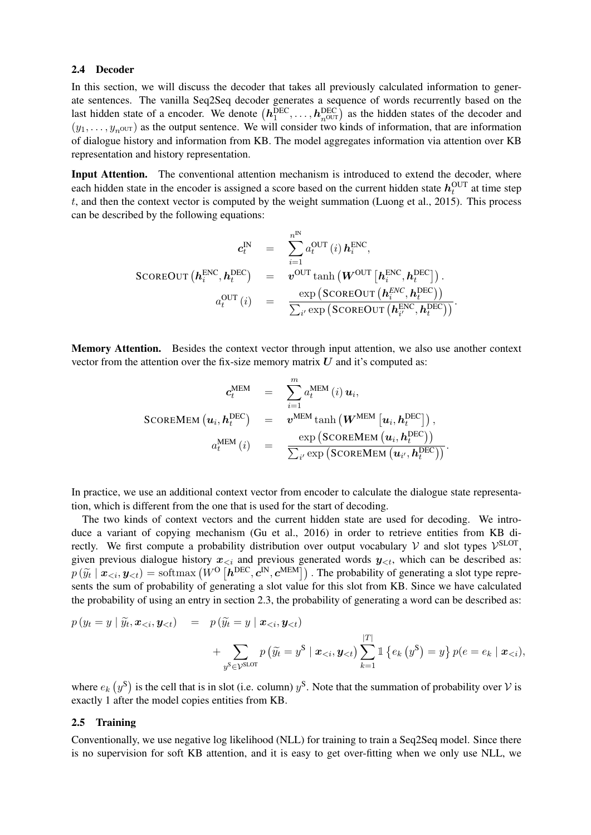#### 2.4 Decoder

In this section, we will discuss the decoder that takes all previously calculated information to generate sentences. The vanilla Seq2Seq decoder generates a sequence of words recurrently based on the last hidden state of a encoder. We denote  $(h_1^{DEC}, \ldots, h_{n^{OUT}}^{DEC})$  as the hidden states of the decoder and  $(y_1, \ldots, y_{n\text{OUT}})$  as the output sentence. We will consider two kinds of information, that are information of dialogue history and information from KB. The model aggregates information via attention over KB representation and history representation.

Input Attention. The conventional attention mechanism is introduced to extend the decoder, where each hidden state in the encoder is assigned a score based on the current hidden state  $h_t^{\text{OUT}}$  at time step t, and then the context vector is computed by the weight summation (Luong et al., 2015). This process can be described by the following equations:

$$
c_t^{\text{IN}} = \sum_{i=1}^{n^{\text{IN}}} a_t^{\text{OUT}}(i) \, h_i^{\text{ENC}},
$$
  
\nSCOREOUT  $(\mathbf{h}_i^{\text{ENC}}, \mathbf{h}_t^{\text{DEC}})$  =  $v^{\text{OUT}} \tanh (\boldsymbol{W}^{\text{OUT}} [\mathbf{h}_i^{\text{ENC}}, \mathbf{h}_t^{\text{DEC}}])$ .  
\n
$$
a_t^{\text{OUT}}(i) = \frac{\exp (\text{SCOREOUT } (\mathbf{h}_i^{\text{ENC}}, \mathbf{h}_t^{\text{DEC}}))}{\sum_{i'} \exp (\text{SCOREOUT } (\mathbf{h}_{i'}^{\text{ENC}}, \mathbf{h}_t^{\text{DEC}}))}.
$$

Memory Attention. Besides the context vector through input attention, we also use another context vector from the attention over the fix-size memory matrix  $U$  and it's computed as:

$$
c_t^{\text{MEM}} = \sum_{i=1}^m a_t^{\text{MEM}}(i) u_i,
$$
  
SCOREMEM  $(u_i, h_t^{\text{DEC}})$  =  $v^{\text{MEM}} \tanh(W^{\text{MEM}} [u_i, h_t^{\text{DEC}}]),$   

$$
a_t^{\text{MEM}}(i) = \frac{\exp(\text{SCOREMEM}}{\sum_{i'} \exp(\text{SCOREMEM}} (u_{i'}, h_t^{\text{DEC}}))}.
$$

In practice, we use an additional context vector from encoder to calculate the dialogue state representation, which is different from the one that is used for the start of decoding.

The two kinds of context vectors and the current hidden state are used for decoding. We introduce a variant of copying mechanism (Gu et al., 2016) in order to retrieve entities from KB directly. We first compute a probability distribution over output vocabulary V and slot types  $\mathcal{V}^{\text{SLOT}}$ , given previous dialogue history  $x_{\leq i}$  and previous generated words  $y_{\leq t}$ , which can be described as:  $p(\widetilde{y}_t | \mathbf{x}_{\leq t}, \mathbf{y}_{\leq t}) = \text{softmax}(W^{\text{O}}[h^{\text{DEC}}, \mathbf{c}^{\text{IN}}, \mathbf{c}^{\text{MEM}}])$ . The probability of generating a slot type represents the sum of probability of generating a slot value for this slot from KB. Since we have calculated the probability of using an entry in section 2.3, the probability of generating a word can be described as:

$$
p(y_t = y | \widetilde{y}_t, \mathbf{x}_{< i}, \mathbf{y}_{< t}) = p(\widetilde{y}_t = y | \mathbf{x}_{< i}, \mathbf{y}_{< t}) + \sum_{y^S \in \mathcal{V}^{\text{SLOT}}} p(\widetilde{y}_t = y^S | \mathbf{x}_{< i}, \mathbf{y}_{< t}) \sum_{k=1}^{|T|} \mathbb{1} \{e_k(y^S) = y\} p(e = e_k | \mathbf{x}_{< i}),
$$

where  $e_k(y^s)$  is the cell that is in slot (i.e. column)  $y^s$ . Note that the summation of probability over V is exactly 1 after the model copies entities from KB.

#### 2.5 Training

Conventionally, we use negative log likelihood (NLL) for training to train a Seq2Seq model. Since there is no supervision for soft KB attention, and it is easy to get over-fitting when we only use NLL, we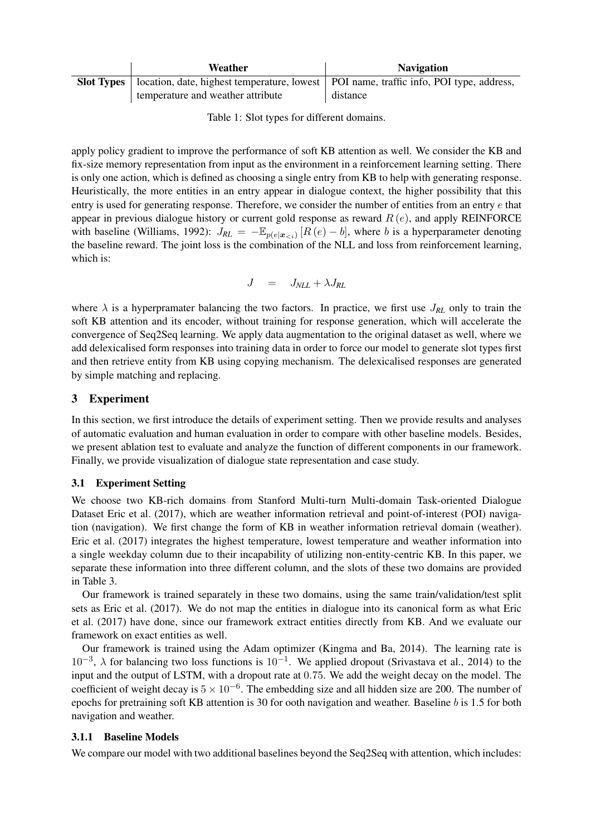| Weather                                                                                                      | <b>Navigation</b> |  |  |
|--------------------------------------------------------------------------------------------------------------|-------------------|--|--|
| <b>Slot Types</b>   location, date, highest temperature, lowest   POI name, traffic info, POI type, address, |                   |  |  |
| temperature and weather attribute                                                                            | distance          |  |  |

Table 1: Slot types for different domains.

apply policy gradient to improve the performance of soft KB attention as well. We consider the KB and fix-size memory representation from input as the environment in a reinforcement learning setting. There is only one action, which is defined as choosing a single entry from KB to help with generating response. Heuristically, the more entities in an entry appear in dialogue context, the higher possibility that this entry is used for generating response. Therefore, we consider the number of entities from an entry e that appear in previous dialogue history or current gold response as reward  $R(e)$ , and apply REINFORCE with baseline (Williams, 1992):  $J_{RL} = -\mathbb{E}_{p(e|\boldsymbol{x}_{< i})} [R(e) - b]$ , where b is a hyperparameter denoting the baseline reward. The joint loss is the combination of the NLL and loss from reinforcement learning, which is:

$$
J = J_{NLL} + \lambda J_{RL}
$$

where  $\lambda$  is a hyperpramater balancing the two factors. In practice, we first use  $J_{RL}$  only to train the soft KB attention and its encoder, without training for response generation, which will accelerate the convergence of Seq2Seq learning. We apply data augmentation to the original dataset as well, where we add delexicalised form responses into training data in order to force our model to generate slot types first and then retrieve entity from KB using copying mechanism. The delexicalised responses are generated by simple matching and replacing.

# 3 Experiment

In this section, we first introduce the details of experiment setting. Then we provide results and analyses of automatic evaluation and human evaluation in order to compare with other baseline models. Besides, we present ablation test to evaluate and analyze the function of different components in our framework. Finally, we provide visualization of dialogue state representation and case study.

### 3.1 Experiment Setting

We choose two KB-rich domains from Stanford Multi-turn Multi-domain Task-oriented Dialogue Dataset Eric et al. (2017), which are weather information retrieval and point-of-interest (POI) navigation (navigation). We first change the form of KB in weather information retrieval domain (weather). Eric et al. (2017) integrates the highest temperature, lowest temperature and weather information into a single weekday column due to their incapability of utilizing non-entity-centric KB. In this paper, we separate these information into three different column, and the slots of these two domains are provided in Table 3.

Our framework is trained separately in these two domains, using the same train/validation/test split sets as Eric et al. (2017). We do not map the entities in dialogue into its canonical form as what Eric et al. (2017) have done, since our framework extract entities directly from KB. And we evaluate our framework on exact entities as well.

Our framework is trained using the Adam optimizer (Kingma and Ba, 2014). The learning rate is  $10^{-3}$ ,  $\lambda$  for balancing two loss functions is  $10^{-1}$ . We applied dropout (Srivastava et al., 2014) to the input and the output of LSTM, with a dropout rate at 0.75. We add the weight decay on the model. The coefficient of weight decay is  $5 \times 10^{-6}$ . The embedding size and all hidden size are 200. The number of epochs for pretraining soft KB attention is 30 for ooth navigation and weather. Baseline b is 1.5 for both navigation and weather.

### 3.1.1 Baseline Models

We compare our model with two additional baselines beyond the Seq2Seq with attention, which includes: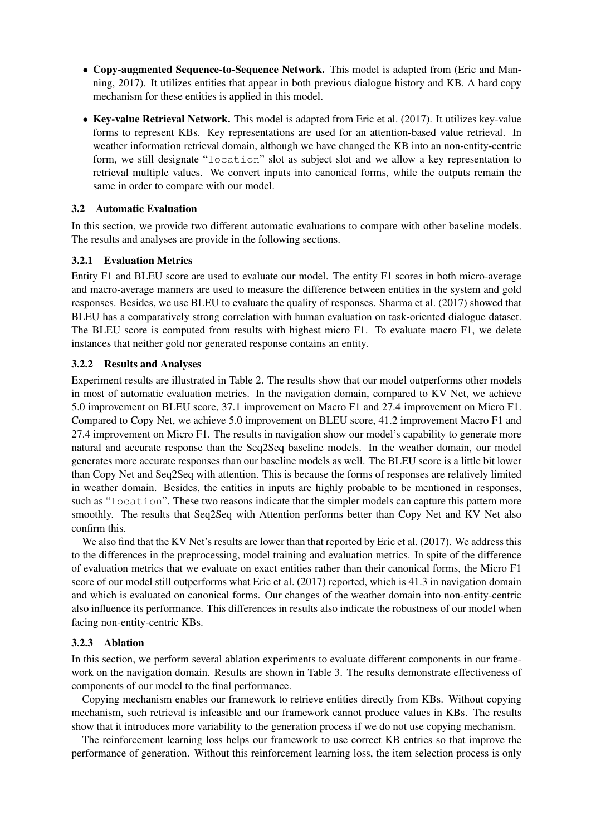- Copy-augmented Sequence-to-Sequence Network. This model is adapted from (Eric and Manning, 2017). It utilizes entities that appear in both previous dialogue history and KB. A hard copy mechanism for these entities is applied in this model.
- Key-value Retrieval Network. This model is adapted from Eric et al. (2017). It utilizes key-value forms to represent KBs. Key representations are used for an attention-based value retrieval. In weather information retrieval domain, although we have changed the KB into an non-entity-centric form, we still designate "location" slot as subject slot and we allow a key representation to retrieval multiple values. We convert inputs into canonical forms, while the outputs remain the same in order to compare with our model.

#### 3.2 Automatic Evaluation

In this section, we provide two different automatic evaluations to compare with other baseline models. The results and analyses are provide in the following sections.

#### 3.2.1 Evaluation Metrics

Entity F1 and BLEU score are used to evaluate our model. The entity F1 scores in both micro-average and macro-average manners are used to measure the difference between entities in the system and gold responses. Besides, we use BLEU to evaluate the quality of responses. Sharma et al. (2017) showed that BLEU has a comparatively strong correlation with human evaluation on task-oriented dialogue dataset. The BLEU score is computed from results with highest micro F1. To evaluate macro F1, we delete instances that neither gold nor generated response contains an entity.

#### 3.2.2 Results and Analyses

Experiment results are illustrated in Table 2. The results show that our model outperforms other models in most of automatic evaluation metrics. In the navigation domain, compared to KV Net, we achieve 5.0 improvement on BLEU score, 37.1 improvement on Macro F1 and 27.4 improvement on Micro F1. Compared to Copy Net, we achieve 5.0 improvement on BLEU score, 41.2 improvement Macro F1 and 27.4 improvement on Micro F1. The results in navigation show our model's capability to generate more natural and accurate response than the Seq2Seq baseline models. In the weather domain, our model generates more accurate responses than our baseline models as well. The BLEU score is a little bit lower than Copy Net and Seq2Seq with attention. This is because the forms of responses are relatively limited in weather domain. Besides, the entities in inputs are highly probable to be mentioned in responses, such as "location". These two reasons indicate that the simpler models can capture this pattern more smoothly. The results that Seq2Seq with Attention performs better than Copy Net and KV Net also confirm this.

We also find that the KV Net's results are lower than that reported by Eric et al. (2017). We address this to the differences in the preprocessing, model training and evaluation metrics. In spite of the difference of evaluation metrics that we evaluate on exact entities rather than their canonical forms, the Micro F1 score of our model still outperforms what Eric et al. (2017) reported, which is 41.3 in navigation domain and which is evaluated on canonical forms. Our changes of the weather domain into non-entity-centric also influence its performance. This differences in results also indicate the robustness of our model when facing non-entity-centric KBs.

#### 3.2.3 Ablation

In this section, we perform several ablation experiments to evaluate different components in our framework on the navigation domain. Results are shown in Table 3. The results demonstrate effectiveness of components of our model to the final performance.

Copying mechanism enables our framework to retrieve entities directly from KBs. Without copying mechanism, such retrieval is infeasible and our framework cannot produce values in KBs. The results show that it introduces more variability to the generation process if we do not use copying mechanism.

The reinforcement learning loss helps our framework to use correct KB entries so that improve the performance of generation. Without this reinforcement learning loss, the item selection process is only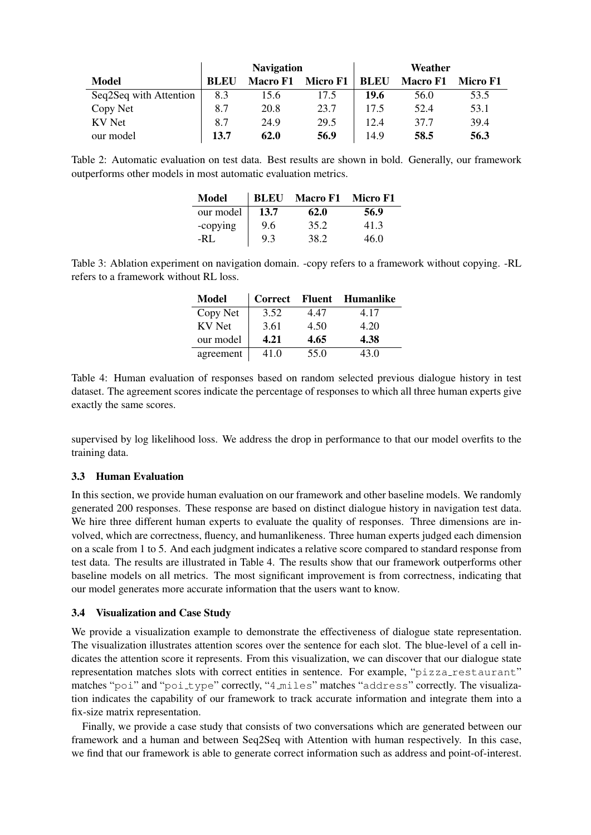|                        | <b>Navigation</b> |                 |          | Weather     |                 |          |
|------------------------|-------------------|-----------------|----------|-------------|-----------------|----------|
| Model                  | <b>BLEU</b>       | <b>Macro F1</b> | Micro F1 | <b>BLEU</b> | <b>Macro F1</b> | Micro F1 |
| Seq2Seq with Attention | 8.3               | 15.6            | 17.5     | 19.6        | 56.0            | 53.5     |
| Copy Net               | 8.7               | 20.8            | 23.7     | 17.5        | 52.4            | 53.1     |
| <b>KV</b> Net          | 8.7               | 24.9            | 29.5     | 12.4        | 37.7            | 39.4     |
| our model              | 13.7              | 62.0            | 56.9     | 14.9        | 58.5            | 56.3     |

Table 2: Automatic evaluation on test data. Best results are shown in bold. Generally, our framework outperforms other models in most automatic evaluation metrics.

| Model     | <b>BLEU</b> | <b>Macro F1</b> | Micro F1 |
|-----------|-------------|-----------------|----------|
| our model | 13.7        | 62.0            | 56.9     |
| -copying  | 9.6         | 35.2            | 41.3     |
| $-RI$ .   | 9.3         | 38.2            | 46 O     |

Table 3: Ablation experiment on navigation domain. -copy refers to a framework without copying. -RL refers to a framework without RL loss.

| Model         | <b>Correct</b> |      | <b>Fluent</b> Humanlike |
|---------------|----------------|------|-------------------------|
| Copy Net      | 3.52           | 4.47 | 4.17                    |
| <b>KV</b> Net | 3.61           | 4.50 | 4.20                    |
| our model     | 4.21           | 4.65 | 4.38                    |
| agreement     | 41.0           | 55.0 | 43.0                    |

Table 4: Human evaluation of responses based on random selected previous dialogue history in test dataset. The agreement scores indicate the percentage of responses to which all three human experts give exactly the same scores.

supervised by log likelihood loss. We address the drop in performance to that our model overfits to the training data.

### 3.3 Human Evaluation

In this section, we provide human evaluation on our framework and other baseline models. We randomly generated 200 responses. These response are based on distinct dialogue history in navigation test data. We hire three different human experts to evaluate the quality of responses. Three dimensions are involved, which are correctness, fluency, and humanlikeness. Three human experts judged each dimension on a scale from 1 to 5. And each judgment indicates a relative score compared to standard response from test data. The results are illustrated in Table 4. The results show that our framework outperforms other baseline models on all metrics. The most significant improvement is from correctness, indicating that our model generates more accurate information that the users want to know.

### 3.4 Visualization and Case Study

We provide a visualization example to demonstrate the effectiveness of dialogue state representation. The visualization illustrates attention scores over the sentence for each slot. The blue-level of a cell indicates the attention score it represents. From this visualization, we can discover that our dialogue state representation matches slots with correct entities in sentence. For example, "pizza\_restaurant" matches "poi" and "poi\_type" correctly, "4\_miles" matches "address" correctly. The visualization indicates the capability of our framework to track accurate information and integrate them into a fix-size matrix representation.

Finally, we provide a case study that consists of two conversations which are generated between our framework and a human and between Seq2Seq with Attention with human respectively. In this case, we find that our framework is able to generate correct information such as address and point-of-interest.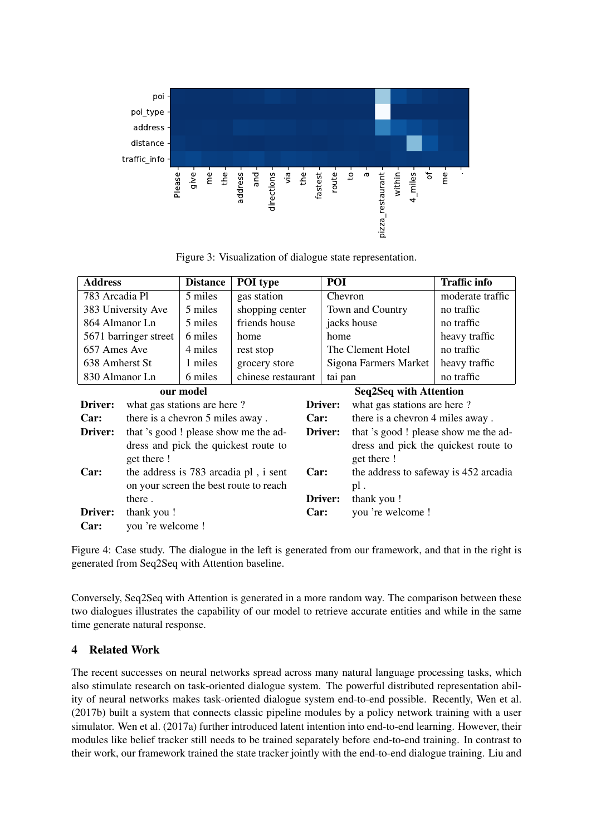

Figure 3: Visualization of dialogue state representation.

| <b>Address</b>                       |                                          | <b>Distance</b> | <b>POI</b> type    |                                      | POI                                   |                             | <b>Traffic info</b> |  |
|--------------------------------------|------------------------------------------|-----------------|--------------------|--------------------------------------|---------------------------------------|-----------------------------|---------------------|--|
|                                      | 783 Arcadia Pl<br>5 miles<br>gas station |                 |                    | Chevron                              |                                       | moderate traffic            |                     |  |
|                                      | 5 miles<br>383 University Ave            |                 | shopping center    |                                      |                                       | Town and Country            | no traffic          |  |
|                                      | 864 Almanor Ln<br>5 miles                |                 | friends house      |                                      | jacks house                           |                             | no traffic          |  |
|                                      | 6 miles<br>5671 barringer street         |                 | home<br>home       |                                      |                                       | heavy traffic               |                     |  |
|                                      | 657 Ames Ave<br>4 miles                  |                 | rest stop          |                                      |                                       | The Clement Hotel           | no traffic          |  |
| 638 Amherst St                       |                                          | 1 miles         | grocery store      | Sigona Farmers Market                |                                       |                             | heavy traffic       |  |
| 830 Almanor Ln                       |                                          | 6 miles         | chinese restaurant | tai pan                              |                                       |                             | no traffic          |  |
| our model                            |                                          |                 |                    |                                      | <b>Seq2Seq with Attention</b>         |                             |                     |  |
| Driver:                              | what gas stations are here?              |                 |                    |                                      | Driver:                               | what gas stations are here? |                     |  |
| Car:                                 | there is a chevron 5 miles away.         |                 | Car:               |                                      | there is a chevron 4 miles away.      |                             |                     |  |
| Driver:                              | that 's good ! please show me the ad-    |                 |                    | Driver:                              | that 's good ! please show me the ad- |                             |                     |  |
| dress and pick the quickest route to |                                          |                 |                    | dress and pick the quickest route to |                                       |                             |                     |  |
|                                      | get there!                               |                 |                    |                                      |                                       | get there!                  |                     |  |
| Car:                                 | the address is 783 arcadia pl, i sent    |                 | Car:               |                                      | the address to safeway is 452 arcadia |                             |                     |  |
|                                      | on your screen the best route to reach   |                 |                    |                                      | pl.                                   |                             |                     |  |
|                                      | there.                                   |                 |                    | Driver:                              | thank you !                           |                             |                     |  |
| Driver:                              | thank you !                              |                 | Car:               |                                      | you 're welcome !                     |                             |                     |  |
| Car:                                 | you 're welcome !                        |                 |                    |                                      |                                       |                             |                     |  |

Figure 4: Case study. The dialogue in the left is generated from our framework, and that in the right is generated from Seq2Seq with Attention baseline.

Conversely, Seq2Seq with Attention is generated in a more random way. The comparison between these two dialogues illustrates the capability of our model to retrieve accurate entities and while in the same time generate natural response.

# 4 Related Work

The recent successes on neural networks spread across many natural language processing tasks, which also stimulate research on task-oriented dialogue system. The powerful distributed representation ability of neural networks makes task-oriented dialogue system end-to-end possible. Recently, Wen et al. (2017b) built a system that connects classic pipeline modules by a policy network training with a user simulator. Wen et al. (2017a) further introduced latent intention into end-to-end learning. However, their modules like belief tracker still needs to be trained separately before end-to-end training. In contrast to their work, our framework trained the state tracker jointly with the end-to-end dialogue training. Liu and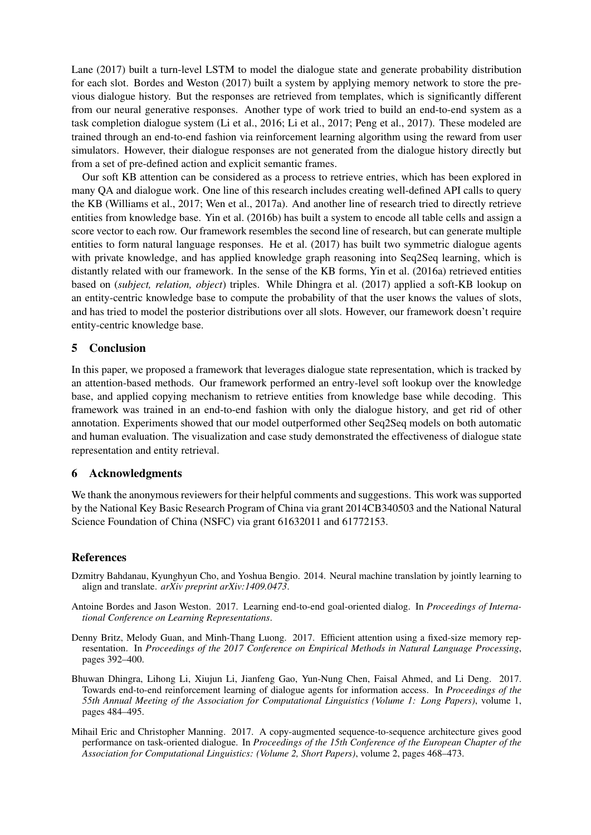Lane (2017) built a turn-level LSTM to model the dialogue state and generate probability distribution for each slot. Bordes and Weston (2017) built a system by applying memory network to store the previous dialogue history. But the responses are retrieved from templates, which is significantly different from our neural generative responses. Another type of work tried to build an end-to-end system as a task completion dialogue system (Li et al., 2016; Li et al., 2017; Peng et al., 2017). These modeled are trained through an end-to-end fashion via reinforcement learning algorithm using the reward from user simulators. However, their dialogue responses are not generated from the dialogue history directly but from a set of pre-defined action and explicit semantic frames.

Our soft KB attention can be considered as a process to retrieve entries, which has been explored in many QA and dialogue work. One line of this research includes creating well-defined API calls to query the KB (Williams et al., 2017; Wen et al., 2017a). And another line of research tried to directly retrieve entities from knowledge base. Yin et al. (2016b) has built a system to encode all table cells and assign a score vector to each row. Our framework resembles the second line of research, but can generate multiple entities to form natural language responses. He et al. (2017) has built two symmetric dialogue agents with private knowledge, and has applied knowledge graph reasoning into Seq2Seq learning, which is distantly related with our framework. In the sense of the KB forms, Yin et al. (2016a) retrieved entities based on (*subject, relation, object*) triples. While Dhingra et al. (2017) applied a soft-KB lookup on an entity-centric knowledge base to compute the probability of that the user knows the values of slots, and has tried to model the posterior distributions over all slots. However, our framework doesn't require entity-centric knowledge base.

### 5 Conclusion

In this paper, we proposed a framework that leverages dialogue state representation, which is tracked by an attention-based methods. Our framework performed an entry-level soft lookup over the knowledge base, and applied copying mechanism to retrieve entities from knowledge base while decoding. This framework was trained in an end-to-end fashion with only the dialogue history, and get rid of other annotation. Experiments showed that our model outperformed other Seq2Seq models on both automatic and human evaluation. The visualization and case study demonstrated the effectiveness of dialogue state representation and entity retrieval.

### 6 Acknowledgments

We thank the anonymous reviewers for their helpful comments and suggestions. This work was supported by the National Key Basic Research Program of China via grant 2014CB340503 and the National Natural Science Foundation of China (NSFC) via grant 61632011 and 61772153.

#### References

- Dzmitry Bahdanau, Kyunghyun Cho, and Yoshua Bengio. 2014. Neural machine translation by jointly learning to align and translate. *arXiv preprint arXiv:1409.0473*.
- Antoine Bordes and Jason Weston. 2017. Learning end-to-end goal-oriented dialog. In *Proceedings of International Conference on Learning Representations*.
- Denny Britz, Melody Guan, and Minh-Thang Luong. 2017. Efficient attention using a fixed-size memory representation. In *Proceedings of the 2017 Conference on Empirical Methods in Natural Language Processing*, pages 392–400.
- Bhuwan Dhingra, Lihong Li, Xiujun Li, Jianfeng Gao, Yun-Nung Chen, Faisal Ahmed, and Li Deng. 2017. Towards end-to-end reinforcement learning of dialogue agents for information access. In *Proceedings of the 55th Annual Meeting of the Association for Computational Linguistics (Volume 1: Long Papers)*, volume 1, pages 484–495.
- Mihail Eric and Christopher Manning. 2017. A copy-augmented sequence-to-sequence architecture gives good performance on task-oriented dialogue. In *Proceedings of the 15th Conference of the European Chapter of the Association for Computational Linguistics: (Volume 2, Short Papers)*, volume 2, pages 468–473.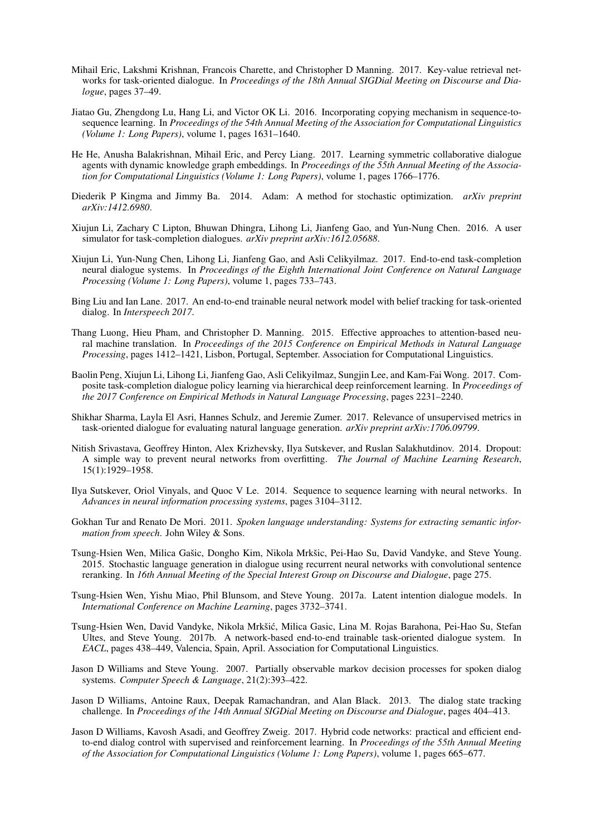- Mihail Eric, Lakshmi Krishnan, Francois Charette, and Christopher D Manning. 2017. Key-value retrieval networks for task-oriented dialogue. In *Proceedings of the 18th Annual SIGDial Meeting on Discourse and Dialogue*, pages 37–49.
- Jiatao Gu, Zhengdong Lu, Hang Li, and Victor OK Li. 2016. Incorporating copying mechanism in sequence-tosequence learning. In *Proceedings of the 54th Annual Meeting of the Association for Computational Linguistics (Volume 1: Long Papers)*, volume 1, pages 1631–1640.
- He He, Anusha Balakrishnan, Mihail Eric, and Percy Liang. 2017. Learning symmetric collaborative dialogue agents with dynamic knowledge graph embeddings. In *Proceedings of the 55th Annual Meeting of the Association for Computational Linguistics (Volume 1: Long Papers)*, volume 1, pages 1766–1776.
- Diederik P Kingma and Jimmy Ba. 2014. Adam: A method for stochastic optimization. *arXiv preprint arXiv:1412.6980*.
- Xiujun Li, Zachary C Lipton, Bhuwan Dhingra, Lihong Li, Jianfeng Gao, and Yun-Nung Chen. 2016. A user simulator for task-completion dialogues. *arXiv preprint arXiv:1612.05688*.
- Xiujun Li, Yun-Nung Chen, Lihong Li, Jianfeng Gao, and Asli Celikyilmaz. 2017. End-to-end task-completion neural dialogue systems. In *Proceedings of the Eighth International Joint Conference on Natural Language Processing (Volume 1: Long Papers)*, volume 1, pages 733–743.
- Bing Liu and Ian Lane. 2017. An end-to-end trainable neural network model with belief tracking for task-oriented dialog. In *Interspeech 2017*.
- Thang Luong, Hieu Pham, and Christopher D. Manning. 2015. Effective approaches to attention-based neural machine translation. In *Proceedings of the 2015 Conference on Empirical Methods in Natural Language Processing*, pages 1412–1421, Lisbon, Portugal, September. Association for Computational Linguistics.
- Baolin Peng, Xiujun Li, Lihong Li, Jianfeng Gao, Asli Celikyilmaz, Sungjin Lee, and Kam-Fai Wong. 2017. Composite task-completion dialogue policy learning via hierarchical deep reinforcement learning. In *Proceedings of the 2017 Conference on Empirical Methods in Natural Language Processing*, pages 2231–2240.
- Shikhar Sharma, Layla El Asri, Hannes Schulz, and Jeremie Zumer. 2017. Relevance of unsupervised metrics in task-oriented dialogue for evaluating natural language generation. *arXiv preprint arXiv:1706.09799*.
- Nitish Srivastava, Geoffrey Hinton, Alex Krizhevsky, Ilya Sutskever, and Ruslan Salakhutdinov. 2014. Dropout: A simple way to prevent neural networks from overfitting. *The Journal of Machine Learning Research*, 15(1):1929–1958.
- Ilya Sutskever, Oriol Vinyals, and Quoc V Le. 2014. Sequence to sequence learning with neural networks. In *Advances in neural information processing systems*, pages 3104–3112.
- Gokhan Tur and Renato De Mori. 2011. *Spoken language understanding: Systems for extracting semantic information from speech*. John Wiley & Sons.
- Tsung-Hsien Wen, Milica Gašic, Dongho Kim, Nikola Mrkšic, Pei-Hao Su, David Vandyke, and Steve Young. 2015. Stochastic language generation in dialogue using recurrent neural networks with convolutional sentence reranking. In *16th Annual Meeting of the Special Interest Group on Discourse and Dialogue*, page 275.
- Tsung-Hsien Wen, Yishu Miao, Phil Blunsom, and Steve Young. 2017a. Latent intention dialogue models. In *International Conference on Machine Learning*, pages 3732–3741.
- Tsung-Hsien Wen, David Vandyke, Nikola Mrkšić, Milica Gasic, Lina M. Rojas Barahona, Pei-Hao Su, Stefan Ultes, and Steve Young. 2017b. A network-based end-to-end trainable task-oriented dialogue system. In *EACL*, pages 438–449, Valencia, Spain, April. Association for Computational Linguistics.
- Jason D Williams and Steve Young. 2007. Partially observable markov decision processes for spoken dialog systems. *Computer Speech & Language*, 21(2):393–422.
- Jason D Williams, Antoine Raux, Deepak Ramachandran, and Alan Black. 2013. The dialog state tracking challenge. In *Proceedings of the 14th Annual SIGDial Meeting on Discourse and Dialogue*, pages 404–413.
- Jason D Williams, Kavosh Asadi, and Geoffrey Zweig. 2017. Hybrid code networks: practical and efficient endto-end dialog control with supervised and reinforcement learning. In *Proceedings of the 55th Annual Meeting of the Association for Computational Linguistics (Volume 1: Long Papers)*, volume 1, pages 665–677.